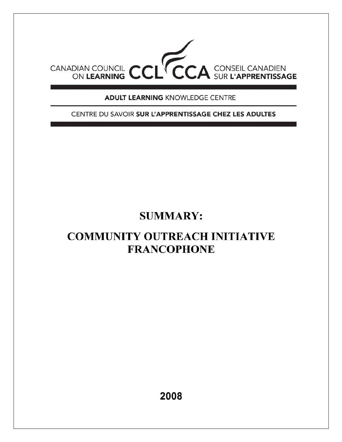

**ADULT LEARNING KNOWLEDGE CENTRE** 

CENTRE DU SAVOIR SUR L'APPRENTISSAGE CHEZ LES ADULTES

# **SUMMARY:**

# **COMMUNITY OUTREACH INITIATIVE FRANCOPHONE**

2008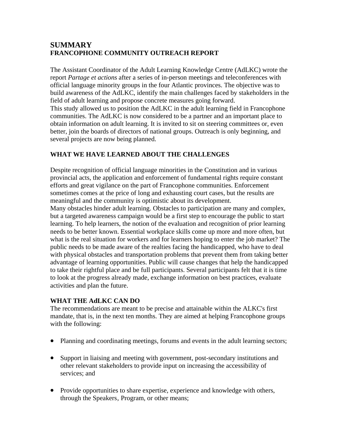## **SUMMARY FRANCOPHONE COMMUNITY OUTREACH REPORT**

The Assistant Coordinator of the Adult Learning Knowledge Centre (AdLKC) wrote the report *Partage et actions* after a series of in-person meetings and teleconferences with official language minority groups in the four Atlantic provinces. The objective was to build awareness of the AdLKC, identify the main challenges faced by stakeholders in the field of adult learning and propose concrete measures going forward. This study allowed us to position the AdLKC in the adult learning field in Francophone communities. The AdLKC is now considered to be a partner and an important place to obtain information on adult learning. It is invited to sit on steering committees or, even better, join the boards of directors of national groups. Outreach is only beginning, and several projects are now being planned.

### **WHAT WE HAVE LEARNED ABOUT THE CHALLENGES**

Despite recognition of official language minorities in the Constitution and in various provincial acts, the application and enforcement of fundamental rights require constant efforts and great vigilance on the part of Francophone communities. Enforcement sometimes comes at the price of long and exhausting court cases, but the results are meaningful and the community is optimistic about its development.

Many obstacles hinder adult learning. Obstacles to participation are many and complex, but a targeted awareness campaign would be a first step to encourage the public to start learning. To help learners, the notion of the evaluation and recognition of prior learning needs to be better known. Essential workplace skills come up more and more often, but what is the real situation for workers and for learners hoping to enter the job market? The public needs to be made aware of the realties facing the handicapped, who have to deal with physical obstacles and transportation problems that prevent them from taking better advantage of learning opportunities. Public will cause changes that help the handicapped to take their rightful place and be full participants. Several participants felt that it is time to look at the progress already made, exchange information on best practices, evaluate activities and plan the future.

#### **WHAT THE AdLKC CAN DO**

The recommendations are meant to be precise and attainable within the ALKC's first mandate, that is, in the next ten months. They are aimed at helping Francophone groups with the following:

- Planning and coordinating meetings, forums and events in the adult learning sectors;
- Support in liaising and meeting with government, post-secondary institutions and other relevant stakeholders to provide input on increasing the accessibility of services; and
- Provide opportunities to share expertise, experience and knowledge with others, through the Speakers, Program, or other means;